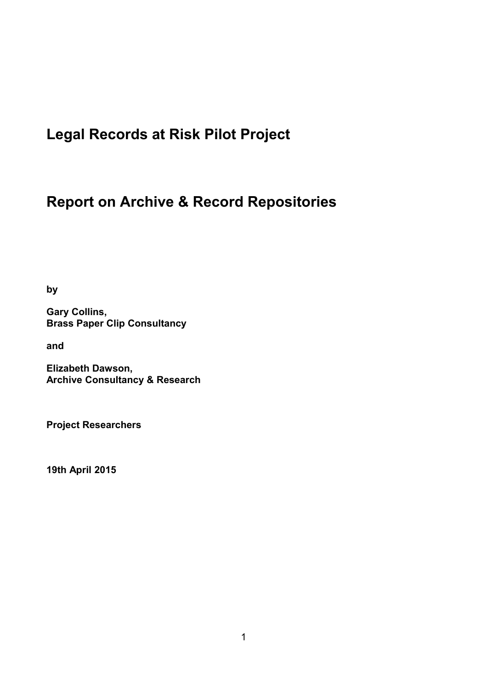# **Legal Records at Risk Pilot Project**

# **Report on Archive & Record Repositories**

**by**

**Gary Collins, Brass Paper Clip Consultancy**

**and**

**Elizabeth Dawson, Archive Consultancy & Research**

**Project Researchers**

**19th April 2015**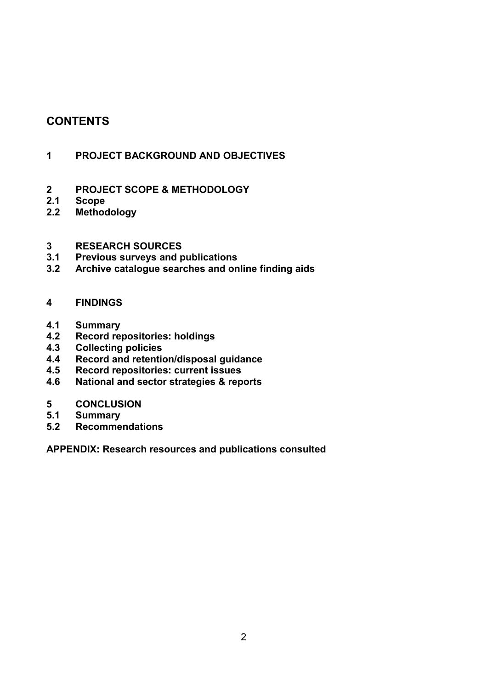# **CONTENTS**

#### **1 PROJECT BACKGROUND AND OBJECTIVES**

#### **2 PROJECT SCOPE & METHODOLOGY**

- **2.1 Scope**
- **2.2 Methodology**

# **3 RESEARCH SOURCES**

- **3.1 Previous surveys and publications**
- **3.2 Archive catalogue searches and online finding aids**

#### **4 FINDINGS**

- **4.1 Summary**
- **4.2 Record repositories: holdings**
- **4.3 Collecting policies**
- **4.4 Record and retention/disposal guidance**
- **4.5 Record repositories: current issues**
- **4.6 National and sector strategies & reports**
- **5 CONCLUSION**
- **5.1 Summary**
- **5.2 Recommendations**

**APPENDIX: Research resources and publications consulted**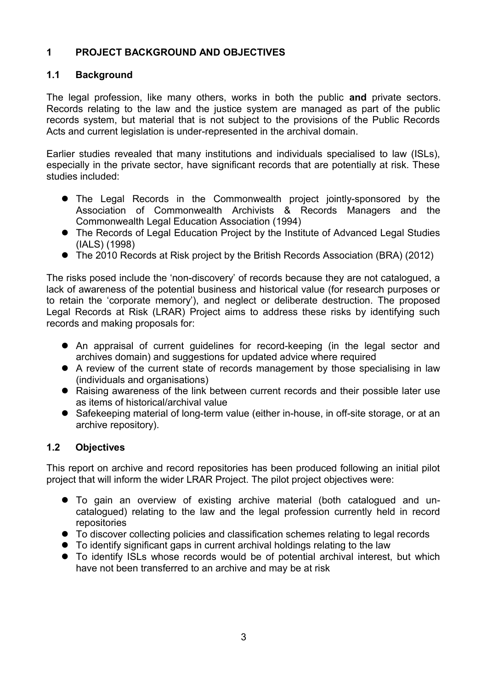## **1 PROJECT BACKGROUND AND OBJECTIVES**

### **1.1 Background**

The legal profession, like many others, works in both the public **and** private sectors. Records relating to the law and the justice system are managed as part of the public records system, but material that is not subject to the provisions of the Public Records Acts and current legislation is under-represented in the archival domain.

Earlier studies revealed that many institutions and individuals specialised to law (ISLs), especially in the private sector, have significant records that are potentially at risk. These studies included:

- The Legal Records in the Commonwealth project jointly-sponsored by the Association of Commonwealth Archivists & Records Managers and the Commonwealth Legal Education Association (1994)
- The Records of Legal Education Project by the Institute of Advanced Legal Studies (IALS) (1998)
- The 2010 Records at Risk project by the British Records Association (BRA) (2012)

The risks posed include the 'non-discovery' of records because they are not catalogued, a lack of awareness of the potential business and historical value (for research purposes or to retain the 'corporate memory'), and neglect or deliberate destruction. The proposed Legal Records at Risk (LRAR) Project aims to address these risks by identifying such records and making proposals for:

- An appraisal of current guidelines for record-keeping (in the legal sector and archives domain) and suggestions for updated advice where required
- A review of the current state of records management by those specialising in law (individuals and organisations)
- Raising awareness of the link between current records and their possible later use as items of historical/archival value
- Safekeeping material of long-term value (either in-house, in off-site storage, or at an archive repository).

# **1.2 Objectives**

This report on archive and record repositories has been produced following an initial pilot project that will inform the wider LRAR Project. The pilot project objectives were:

- To gain an overview of existing archive material (both catalogued and uncatalogued) relating to the law and the legal profession currently held in record repositories
- To discover collecting policies and classification schemes relating to legal records
- To identify significant gaps in current archival holdings relating to the law
- To identify ISLs whose records would be of potential archival interest, but which have not been transferred to an archive and may be at risk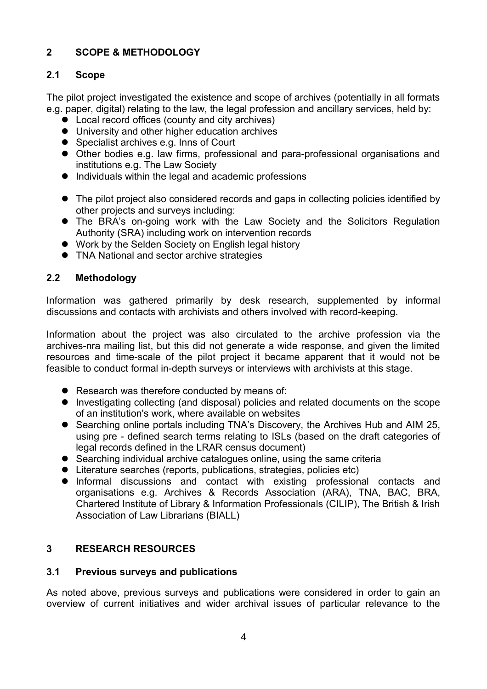# **2 SCOPE & METHODOLOGY**

#### **2.1 Scope**

The pilot project investigated the existence and scope of archives (potentially in all formats e.g. paper, digital) relating to the law, the legal profession and ancillary services, held by:

- Local record offices (county and city archives)
- University and other higher education archives
- Specialist archives e.g. Inns of Court
- Other bodies e.g. law firms, professional and para-professional organisations and institutions e.g. The Law Society
- $\bullet$  Individuals within the legal and academic professions
- The pilot project also considered records and gaps in collecting policies identified by other projects and surveys including:
- The BRA's on-going work with the Law Society and the Solicitors Regulation Authority (SRA) including work on intervention records
- Work by the Selden Society on English legal history
- **TNA National and sector archive strategies**

# **2.2 Methodology**

Information was gathered primarily by desk research, supplemented by informal discussions and contacts with archivists and others involved with record-keeping.

Information about the project was also circulated to the archive profession via the archives-nra mailing list, but this did not generate a wide response, and given the limited resources and time-scale of the pilot project it became apparent that it would not be feasible to conduct formal in-depth surveys or interviews with archivists at this stage.

- Research was therefore conducted by means of:
- Investigating collecting (and disposal) policies and related documents on the scope of an institution's work, where available on websites
- Searching online portals including TNA's Discovery, the Archives Hub and AIM 25, using pre - defined search terms relating to ISLs (based on the draft categories of legal records defined in the LRAR census document)
- Searching individual archive catalogues online, using the same criteria
- Literature searches (reports, publications, strategies, policies etc)
- Informal discussions and contact with existing professional contacts and organisations e.g. Archives & Records Association (ARA), TNA, BAC, BRA, Chartered Institute of Library & Information Professionals (CILIP), The British & Irish Association of Law Librarians (BIALL)

# **3 RESEARCH RESOURCES**

#### **3.1 Previous surveys and publications**

As noted above, previous surveys and publications were considered in order to gain an overview of current initiatives and wider archival issues of particular relevance to the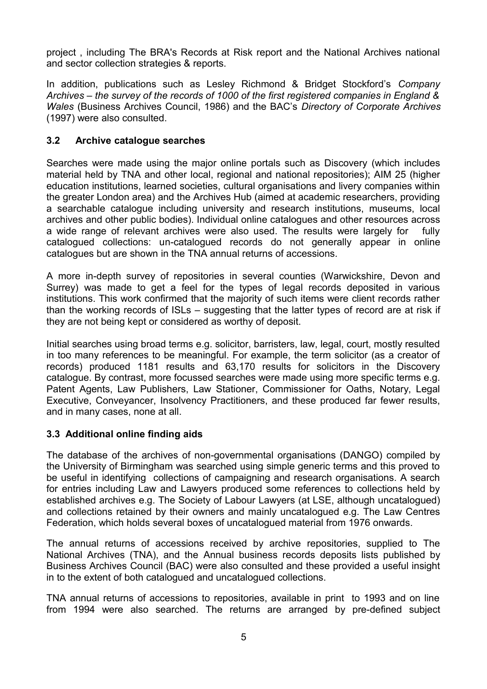project , including The BRA's Records at Risk report and the National Archives national and sector collection strategies & reports.

In addition, publications such as Lesley Richmond & Bridget Stockford's *Company Archives – the survey of the records of 1000 of the first registered companies in England & Wales* (Business Archives Council, 1986) and the BAC's *Directory of Corporate Archives* (1997) were also consulted.

#### **3.2 Archive catalogue searches**

Searches were made using the major online portals such as Discovery (which includes material held by TNA and other local, regional and national repositories); AIM 25 (higher education institutions, learned societies, cultural organisations and livery companies within the greater London area) and the Archives Hub (aimed at academic researchers, providing a searchable catalogue including university and research institutions, museums, local archives and other public bodies). Individual online catalogues and other resources across a wide range of relevant archives were also used. The results were largely for fully catalogued collections: un-catalogued records do not generally appear in online catalogues but are shown in the TNA annual returns of accessions.

A more in-depth survey of repositories in several counties (Warwickshire, Devon and Surrey) was made to get a feel for the types of legal records deposited in various institutions. This work confirmed that the majority of such items were client records rather than the working records of ISLs – suggesting that the latter types of record are at risk if they are not being kept or considered as worthy of deposit.

Initial searches using broad terms e.g. solicitor, barristers, law, legal, court, mostly resulted in too many references to be meaningful. For example, the term solicitor (as a creator of records) produced 1181 results and 63,170 results for solicitors in the Discovery catalogue. By contrast, more focussed searches were made using more specific terms e.g. Patent Agents, Law Publishers, Law Stationer, Commissioner for Oaths, Notary, Legal Executive, Conveyancer, Insolvency Practitioners, and these produced far fewer results, and in many cases, none at all.

#### **3.3 Additional online finding aids**

The database of the archives of non-governmental organisations (DANGO) compiled by the University of Birmingham was searched using simple generic terms and this proved to be useful in identifying collections of campaigning and research organisations. A search for entries including Law and Lawyers produced some references to collections held by established archives e.g. The Society of Labour Lawyers (at LSE, although uncatalogued) and collections retained by their owners and mainly uncatalogued e.g. The Law Centres Federation, which holds several boxes of uncatalogued material from 1976 onwards.

The annual returns of accessions received by archive repositories, supplied to The National Archives (TNA), and the Annual business records deposits lists published by Business Archives Council (BAC) were also consulted and these provided a useful insight in to the extent of both catalogued and uncatalogued collections.

TNA annual returns of accessions to repositories, available in print to 1993 and on line from 1994 were also searched. The returns are arranged by pre-defined subject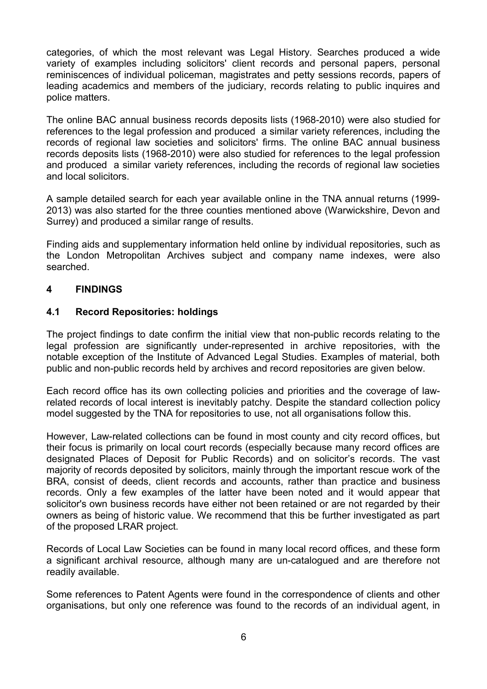categories, of which the most relevant was Legal History. Searches produced a wide variety of examples including solicitors' client records and personal papers, personal reminiscences of individual policeman, magistrates and petty sessions records, papers of leading academics and members of the judiciary, records relating to public inquires and police matters.

The online BAC annual business records deposits lists (1968-2010) were also studied for references to the legal profession and produced a similar variety references, including the records of regional law societies and solicitors' firms. The online BAC annual business records deposits lists (1968-2010) were also studied for references to the legal profession and produced a similar variety references, including the records of regional law societies and local solicitors.

A sample detailed search for each year available online in the TNA annual returns (1999- 2013) was also started for the three counties mentioned above (Warwickshire, Devon and Surrey) and produced a similar range of results.

Finding aids and supplementary information held online by individual repositories, such as the London Metropolitan Archives subject and company name indexes, were also searched.

#### **4 FINDINGS**

#### **4.1 Record Repositories: holdings**

The project findings to date confirm the initial view that non-public records relating to the legal profession are significantly under-represented in archive repositories, with the notable exception of the Institute of Advanced Legal Studies. Examples of material, both public and non-public records held by archives and record repositories are given below.

Each record office has its own collecting policies and priorities and the coverage of lawrelated records of local interest is inevitably patchy. Despite the standard collection policy model suggested by the TNA for repositories to use, not all organisations follow this.

However, Law-related collections can be found in most county and city record offices, but their focus is primarily on local court records (especially because many record offices are designated Places of Deposit for Public Records) and on solicitor's records. The vast majority of records deposited by solicitors, mainly through the important rescue work of the BRA, consist of deeds, client records and accounts, rather than practice and business records. Only a few examples of the latter have been noted and it would appear that solicitor's own business records have either not been retained or are not regarded by their owners as being of historic value. We recommend that this be further investigated as part of the proposed LRAR project.

Records of Local Law Societies can be found in many local record offices, and these form a significant archival resource, although many are un-catalogued and are therefore not readily available.

Some references to Patent Agents were found in the correspondence of clients and other organisations, but only one reference was found to the records of an individual agent, in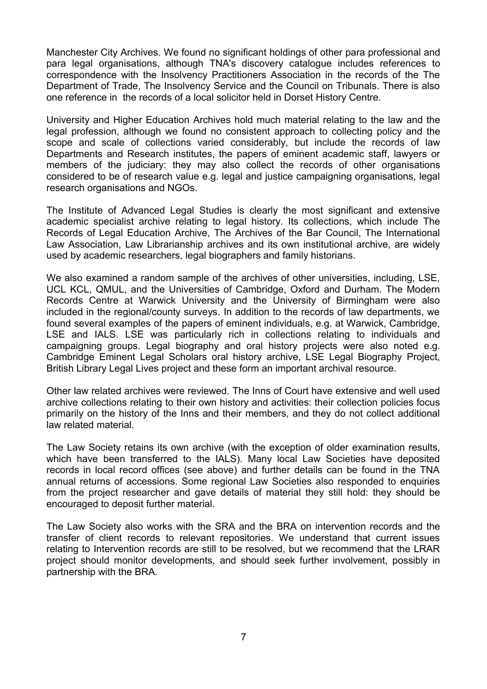Manchester City Archives. We found no significant holdings of other para professional and para legal organisations, although TNA's discovery catalogue includes references to correspondence with the Insolvency Practitioners Association in the records of the The Department of Trade, The Insolvency Service and the Council on Tribunals. There is also one reference in the records of a local solicitor held in Dorset History Centre.

University and Higher Education Archives hold much material relating to the law and the legal profession, although we found no consistent approach to collecting policy and the scope and scale of collections varied considerably, but include the records of law Departments and Research institutes, the papers of eminent academic staff, lawyers or members of the judiciary: they may also collect the records of other organisations considered to be of research value e.g. legal and justice campaigning organisations, legal research organisations and NGOs.

The Institute of Advanced Legal Studies is clearly the most significant and extensive academic specialist archive relating to legal history. Its collections, which include The Records of Legal Education Archive, The Archives of the Bar Council, The International Law Association, Law Librarianship archives and its own institutional archive, are widely used by academic researchers, legal biographers and family historians.

We also examined a random sample of the archives of other universities, including, LSE, UCL KCL, QMUL, and the Universities of Cambridge, Oxford and Durham. The Modern Records Centre at Warwick University and the University of Birmingham were also included in the regional/county surveys. In addition to the records of law departments, we found several examples of the papers of eminent individuals, e.g. at Warwick, Cambridge, LSE and IALS. LSE was particularly rich in collections relating to individuals and campaigning groups. Legal biography and oral history projects were also noted e.g. Cambridge Eminent Legal Scholars oral history archive, LSE Legal Biography Project, British Library Legal Lives project and these form an important archival resource.

Other law related archives were reviewed. The Inns of Court have extensive and well used archive collections relating to their own history and activities: their collection policies focus primarily on the history of the Inns and their members, and they do not collect additional law related material.

The Law Society retains its own archive (with the exception of older examination results, which have been transferred to the IALS). Many local Law Societies have deposited records in local record offices (see above) and further details can be found in the TNA annual returns of accessions. Some regional Law Societies also responded to enquiries from the project researcher and gave details of material they still hold: they should be encouraged to deposit further material.

The Law Society also works with the SRA and the BRA on intervention records and the transfer of client records to relevant repositories. We understand that current issues relating to Intervention records are still to be resolved, but we recommend that the LRAR project should monitor developments, and should seek further involvement, possibly in partnership with the BRA.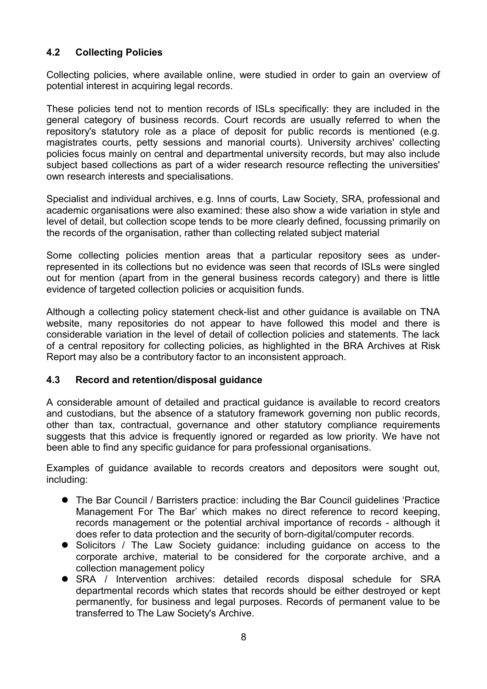## **4.2 Collecting Policies**

Collecting policies, where available online, were studied in order to gain an overview of potential interest in acquiring legal records.

These policies tend not to mention records of ISLs specifically: they are included in the general category of business records. Court records are usually referred to when the repository's statutory role as a place of deposit for public records is mentioned (e.g. magistrates courts, petty sessions and manorial courts). University archives' collecting policies focus mainly on central and departmental university records, but may also include subject based collections as part of a wider research resource reflecting the universities' own research interests and specialisations.

Specialist and individual archives, e.g. Inns of courts, Law Society, SRA, professional and academic organisations were also examined: these also show a wide variation in style and level of detail, but collection scope tends to be more clearly defined, focussing primarily on the records of the organisation, rather than collecting related subject material

Some collecting policies mention areas that a particular repository sees as underrepresented in its collections but no evidence was seen that records of ISLs were singled out for mention (apart from in the general business records category) and there is little evidence of targeted collection policies or acquisition funds.

Although a collecting policy statement check-list and other guidance is available on TNA website, many repositories do not appear to have followed this model and there is considerable variation in the level of detail of collection policies and statements. The lack of a central repository for collecting policies, as highlighted in the BRA Archives at Risk Report may also be a contributory factor to an inconsistent approach.

#### **4.3 Record and retention/disposal guidance**

A considerable amount of detailed and practical guidance is available to record creators and custodians, but the absence of a statutory framework governing non public records, other than tax, contractual, governance and other statutory compliance requirements suggests that this advice is frequently ignored or regarded as low priority. We have not been able to find any specific guidance for para professional organisations.

Examples of guidance available to records creators and depositors were sought out, including:

- The Bar Council / Barristers practice: including the Bar Council guidelines 'Practice Management For The Bar' which makes no direct reference to record keeping, records management or the potential archival importance of records - although it does refer to data protection and the security of born-digital/computer records.
- Solicitors / The Law Society guidance: including guidance on access to the corporate archive, material to be considered for the corporate archive, and a collection management policy
- SRA / Intervention archives: detailed records disposal schedule for SRA departmental records which states that records should be either destroyed or kept permanently, for business and legal purposes. Records of permanent value to be transferred to The Law Society's Archive.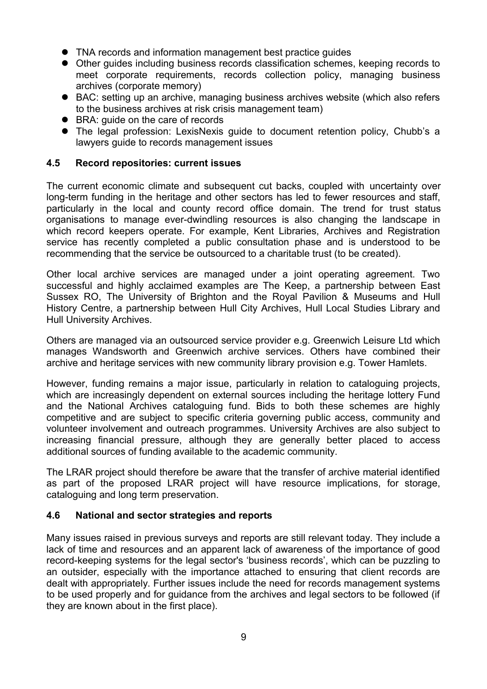- TNA records and information management best practice guides
- Other guides including business records classification schemes, keeping records to meet corporate requirements, records collection policy, managing business archives (corporate memory)
- BAC: setting up an archive, managing business archives website (which also refers to the business archives at risk crisis management team)
- BRA: quide on the care of records
- The legal profession: LexisNexis guide to document retention policy, Chubb's a lawyers guide to records management issues

#### **4.5 Record repositories: current issues**

The current economic climate and subsequent cut backs, coupled with uncertainty over long-term funding in the heritage and other sectors has led to fewer resources and staff, particularly in the local and county record office domain. The trend for trust status organisations to manage ever-dwindling resources is also changing the landscape in which record keepers operate. For example, Kent Libraries, Archives and Registration service has recently completed a public consultation phase and is understood to be recommending that the service be outsourced to a charitable trust (to be created).

Other local archive services are managed under a joint operating agreement. Two successful and highly acclaimed examples are The Keep, a partnership between East Sussex RO, The University of Brighton and the Royal Pavilion & Museums and Hull History Centre, a partnership between Hull City Archives, Hull Local Studies Library and Hull University Archives.

Others are managed via an outsourced service provider e.g. Greenwich Leisure Ltd which manages Wandsworth and Greenwich archive services. Others have combined their archive and heritage services with new community library provision e.g. Tower Hamlets.

However, funding remains a major issue, particularly in relation to cataloguing projects, which are increasingly dependent on external sources including the heritage lottery Fund and the National Archives cataloguing fund. Bids to both these schemes are highly competitive and are subject to specific criteria governing public access, community and volunteer involvement and outreach programmes. University Archives are also subject to increasing financial pressure, although they are generally better placed to access additional sources of funding available to the academic community.

The LRAR project should therefore be aware that the transfer of archive material identified as part of the proposed LRAR project will have resource implications, for storage, cataloguing and long term preservation.

#### **4.6 National and sector strategies and reports**

Many issues raised in previous surveys and reports are still relevant today. They include a lack of time and resources and an apparent lack of awareness of the importance of good record-keeping systems for the legal sector's 'business records', which can be puzzling to an outsider, especially with the importance attached to ensuring that client records are dealt with appropriately. Further issues include the need for records management systems to be used properly and for guidance from the archives and legal sectors to be followed (if they are known about in the first place).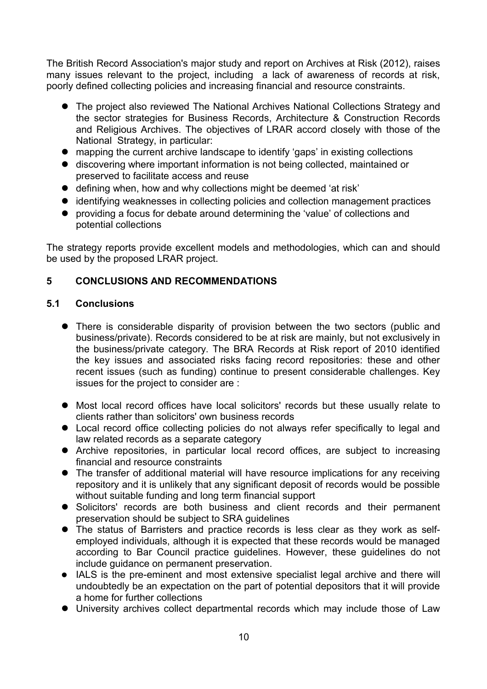The British Record Association's major study and report on Archives at Risk (2012), raises many issues relevant to the project, including a lack of awareness of records at risk, poorly defined collecting policies and increasing financial and resource constraints.

- The project also reviewed The National Archives National Collections Strategy and the sector strategies for Business Records, Architecture & Construction Records and Religious Archives. The objectives of LRAR accord closely with those of the National Strategy, in particular:
- mapping the current archive landscape to identify 'gaps' in existing collections
- discovering where important information is not being collected, maintained or preserved to facilitate access and reuse
- defining when, how and why collections might be deemed 'at risk'
- identifying weaknesses in collecting policies and collection management practices
- providing a focus for debate around determining the 'value' of collections and potential collections

The strategy reports provide excellent models and methodologies, which can and should be used by the proposed LRAR project.

#### **5 CONCLUSIONS AND RECOMMENDATIONS**

#### **5.1 Conclusions**

- There is considerable disparity of provision between the two sectors (public and business/private). Records considered to be at risk are mainly, but not exclusively in the business/private category. The BRA Records at Risk report of 2010 identified the key issues and associated risks facing record repositories: these and other recent issues (such as funding) continue to present considerable challenges. Key issues for the project to consider are :
- Most local record offices have local solicitors' records but these usually relate to clients rather than solicitors' own business records
- Local record office collecting policies do not always refer specifically to legal and law related records as a separate category
- Archive repositories, in particular local record offices, are subject to increasing financial and resource constraints
- The transfer of additional material will have resource implications for any receiving repository and it is unlikely that any significant deposit of records would be possible without suitable funding and long term financial support
- Solicitors' records are both business and client records and their permanent preservation should be subject to SRA guidelines
- The status of Barristers and practice records is less clear as they work as selfemployed individuals, although it is expected that these records would be managed according to Bar Council practice guidelines. However, these guidelines do not include guidance on permanent preservation.
- IALS is the pre-eminent and most extensive specialist legal archive and there will undoubtedly be an expectation on the part of potential depositors that it will provide a home for further collections
- University archives collect departmental records which may include those of Law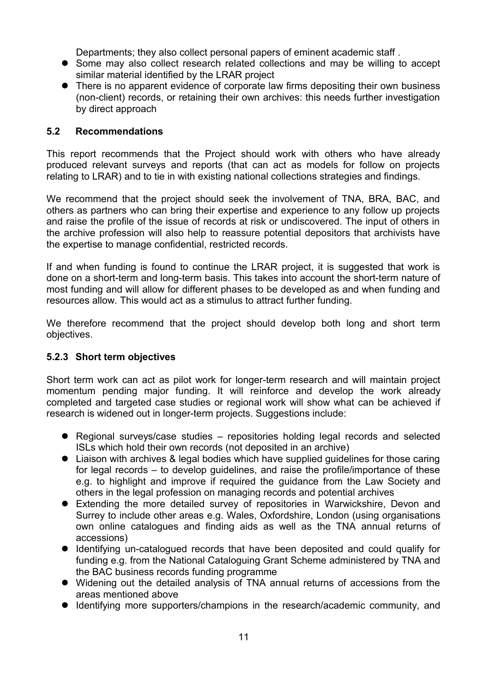Departments; they also collect personal papers of eminent academic staff .

- Some may also collect research related collections and may be willing to accept similar material identified by the LRAR project
- There is no apparent evidence of corporate law firms depositing their own business (non-client) records, or retaining their own archives: this needs further investigation by direct approach

#### **5.2 Recommendations**

This report recommends that the Project should work with others who have already produced relevant surveys and reports (that can act as models for follow on projects relating to LRAR) and to tie in with existing national collections strategies and findings.

We recommend that the project should seek the involvement of TNA, BRA, BAC, and others as partners who can bring their expertise and experience to any follow up projects and raise the profile of the issue of records at risk or undiscovered. The input of others in the archive profession will also help to reassure potential depositors that archivists have the expertise to manage confidential, restricted records.

If and when funding is found to continue the LRAR project, it is suggested that work is done on a short-term and long-term basis. This takes into account the short-term nature of most funding and will allow for different phases to be developed as and when funding and resources allow. This would act as a stimulus to attract further funding.

We therefore recommend that the project should develop both long and short term objectives.

#### **5.2.3 Short term objectives**

Short term work can act as pilot work for longer-term research and will maintain project momentum pending major funding. It will reinforce and develop the work already completed and targeted case studies or regional work will show what can be achieved if research is widened out in longer-term projects. Suggestions include:

- Regional surveys/case studies repositories holding legal records and selected ISLs which hold their own records (not deposited in an archive)
- Liaison with archives & legal bodies which have supplied guidelines for those caring for legal records – to develop guidelines, and raise the profile/importance of these e.g. to highlight and improve if required the guidance from the Law Society and others in the legal profession on managing records and potential archives
- Extending the more detailed survey of repositories in Warwickshire, Devon and Surrey to include other areas e.g. Wales, Oxfordshire, London (using organisations own online catalogues and finding aids as well as the TNA annual returns of accessions)
- Identifying un-catalogued records that have been deposited and could qualify for funding e.g. from the National Cataloguing Grant Scheme administered by TNA and the BAC business records funding programme
- Widening out the detailed analysis of TNA annual returns of accessions from the areas mentioned above
- Identifying more supporters/champions in the research/academic community, and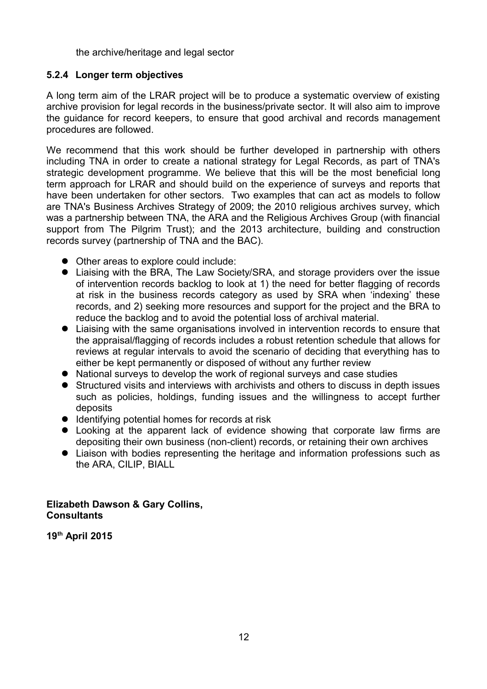the archive/heritage and legal sector

#### **5.2.4 Longer term objectives**

A long term aim of the LRAR project will be to produce a systematic overview of existing archive provision for legal records in the business/private sector. It will also aim to improve the guidance for record keepers, to ensure that good archival and records management procedures are followed.

We recommend that this work should be further developed in partnership with others including TNA in order to create a national strategy for Legal Records, as part of TNA's strategic development programme. We believe that this will be the most beneficial long term approach for LRAR and should build on the experience of surveys and reports that have been undertaken for other sectors. Two examples that can act as models to follow are TNA's Business Archives Strategy of 2009; the 2010 religious archives survey, which was a partnership between TNA, the ARA and the Religious Archives Group (with financial support from The Pilgrim Trust); and the 2013 architecture, building and construction records survey (partnership of TNA and the BAC).

- Other areas to explore could include:
- Liaising with the BRA, The Law Society/SRA, and storage providers over the issue of intervention records backlog to look at 1) the need for better flagging of records at risk in the business records category as used by SRA when 'indexing' these records, and 2) seeking more resources and support for the project and the BRA to reduce the backlog and to avoid the potential loss of archival material.
- Liaising with the same organisations involved in intervention records to ensure that the appraisal/flagging of records includes a robust retention schedule that allows for reviews at regular intervals to avoid the scenario of deciding that everything has to either be kept permanently or disposed of without any further review
- National surveys to develop the work of regional surveys and case studies
- Structured visits and interviews with archivists and others to discuss in depth issues such as policies, holdings, funding issues and the willingness to accept further deposits
- Identifying potential homes for records at risk
- Looking at the apparent lack of evidence showing that corporate law firms are depositing their own business (non-client) records, or retaining their own archives
- Liaison with bodies representing the heritage and information professions such as the ARA, CILIP, BIALL

#### **Elizabeth Dawson & Gary Collins, Consultants**

**19th April 2015**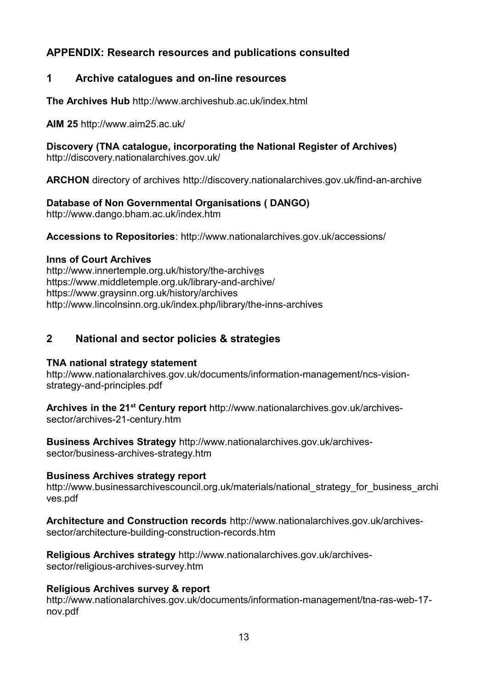# **APPENDIX: Research resources and publications consulted**

# **1 Archive catalogues and on-line resources**

**The Archives Hub** <http://www.archiveshub.ac.uk/index.html>

**AIM 25** <http://www.aim25.ac.uk/>

**Discovery (TNA catalogue, incorporating the National Register of Archives)**  http://discovery.nationalarchives.gov.uk/

**ARCHON** directory of archives<http://discovery.nationalarchives.gov.uk/find-an-archive>

**Database of Non Governmental Organisations ( DANGO)** <http://www.dango.bham.ac.uk/index.htm>

**Accessions to Repositories**:<http://www.nationalarchives.gov.uk/accessions/>

#### **Inns of Court Archives**

<http://www.innertemple.org.uk/history/the-archives> <https://www.middletemple.org.uk/library-and-archive/> <https://www.graysinn.org.uk/history/archives> <http://www.lincolnsinn.org.uk/index.php/library/the-inns-archives>

# **2 National and sector policies & strategies**

#### **TNA national strategy statement**

[http://www.nationalarchives.gov.uk/documents/information-management/ncs-vision](http://www.nationalarchives.gov.uk/documents/information-management/ncs-vision-strategy-and-principles.pdf)[strategy-and-principles.pdf](http://www.nationalarchives.gov.uk/documents/information-management/ncs-vision-strategy-and-principles.pdf)

**Archives in the 21st Century report** [http://www.nationalarchives.gov.uk/archives](http://www.nationalarchives.gov.uk/archives-sector/archives-21-century.htm)[sector/archives-21-century.htm](http://www.nationalarchives.gov.uk/archives-sector/archives-21-century.htm)

**Business Archives Strategy** [http://www.nationalarchives.gov.uk/archives](http://www.nationalarchives.gov.uk/archives-sector/business-archives-strategy.htm)[sector/business-archives-strategy.htm](http://www.nationalarchives.gov.uk/archives-sector/business-archives-strategy.htm)

#### **Business Archives strategy report**

http://www.businessarchivescouncil.org.uk/materials/national strategy for business archi [ves.pdf](http://www.businessarchivescouncil.org.uk/materials/national_strategy_for_business_archives.pdf)

**Architecture and Construction records** [http://www.nationalarchives.gov.uk/archives](http://www.nationalarchives.gov.uk/archives-sector/architecture-building-construction-records.htm)[sector/architecture-building-construction-records.htm](http://www.nationalarchives.gov.uk/archives-sector/architecture-building-construction-records.htm)

**Religious Archives strategy** [http://www.nationalarchives.gov.uk/archives](http://www.nationalarchives.gov.uk/archives-sector/religious-archives-survey.htm)[sector/religious-archives-survey.htm](http://www.nationalarchives.gov.uk/archives-sector/religious-archives-survey.htm)

#### **Religious Archives survey & report**

[http://www.nationalarchives.gov.uk/documents/information-management/tna-ras-web-17](http://www.nationalarchives.gov.uk/documents/information-management/tna-ras-web-17-nov.pdf) [nov.pdf](http://www.nationalarchives.gov.uk/documents/information-management/tna-ras-web-17-nov.pdf)